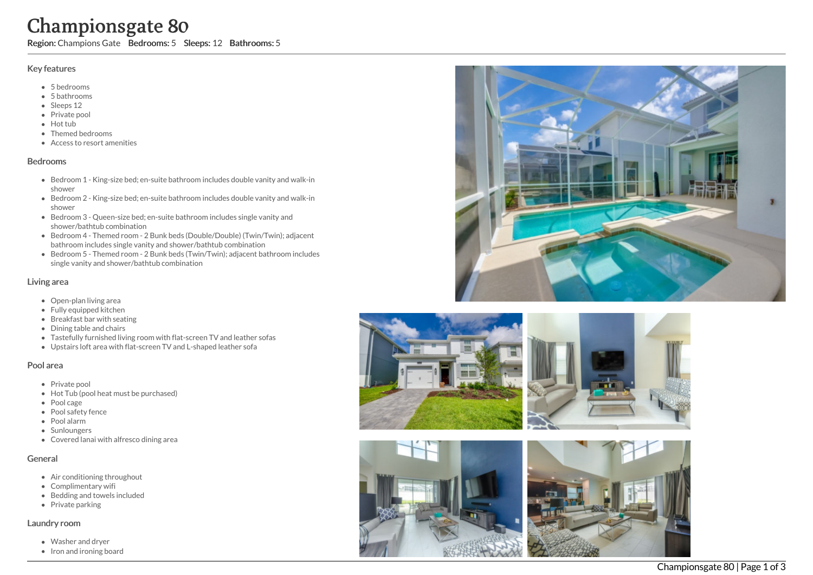# Championsgate 80

Region: Champions Gate Bedrooms: 5 Sleeps: 12 Bathrooms: 5

#### Key features

- 5 b e d r o o m s
- 5 b a t h r o o m s
- Sleeps 12
- Private pool
- Hot tub
- Themed bedrooms
- Access to resort amenities

#### **Bedrooms**

- Bedroom 1 King-size bed; en-suite bathroom includes double vanity and walk-in s h o w e r
- Bedroom 2 King-size bed; en-suite bathroom includes double vanity and walk-in s h o w e r
- Bedroom 3 Queen-size bed; en-suite bathroom includes single vanity and shower/bathtub combination
- Bedroom 4 Themed room 2 Bunk beds (Double/Double) (Twin/Twin); adjacent bathroom includes single vanity and shower/bathtub combination
- Bedroom 5 Themed room 2 Bunk beds (Twin/Twin); adjacent bathroom includes single vanity and shower/bathtub combination

#### Living area

- Open-plan living area
- Fully equipped kitchen
- Breakfast bar with seating
- Dining table and chairs
- Tastefully furnished living room with flat-screen TV and leather sofas
- Upstairs loft area with flat-screen TV and L-shaped leather sofa

#### Pool area

- Private pool
- Hot Tub (pool heat must be purchased)
- Pool cage
- Pool safety fence
- P o ol ala r m
- **Sunloungers**
- Covered lanai with alfresco dining area

# General

- Air conditioning throughout
- Complimentary wifi
- Bedding and towels in clu d e d
- Private parking

# Laundry room

- Washer and dryer
- Iron and ironing board





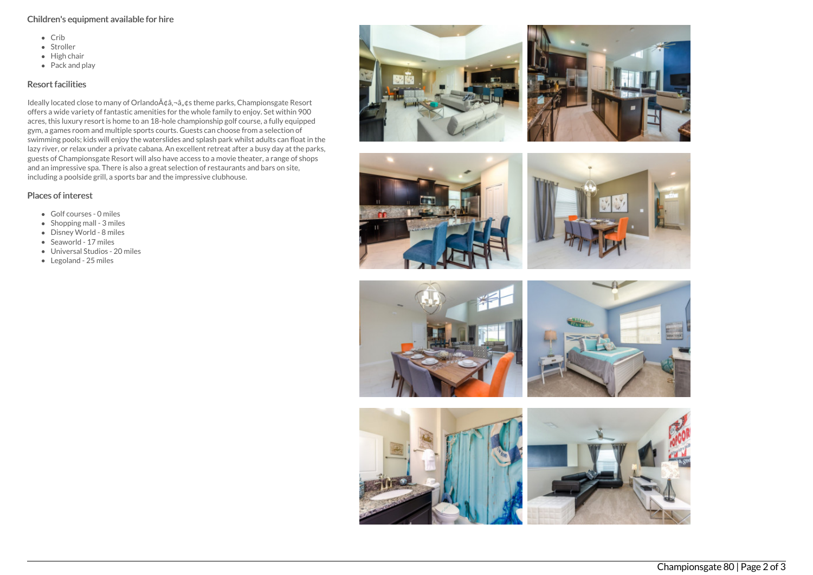### Children's equipment available for hire

- $\bullet$  Crib
- Stroller
- $\bullet$  High chair
- $\bullet$  Pack and play

# Resort facilities

Ideally located close to many of Orlando A¢â,¬â"¢s theme parks, Championsgate Resort offers a wide variety of fantastic amenities for the whole family to enjoy. Set within 900 acres, this luxury resort is home to an 18-hole championship golf course, a fully equipped gym, a games room and multiple sports courts. Guests can choose from a selection of swimming pools; kids will enjoy the waterslides and splash park whilst adults can float in the lazy river, or relax under a private cabana. An excellent retreat after a busy day at the parks, guests of Championsgate Resort will also have access to a movie theater, a range of shops and an impressive spa. There is also a great selection of restaurants and bars on site, including a poolside grill, a sports bar and the impressive clubhouse.

# Places of interest

- Golf courses 0 miles
- $\bullet$  Shopping mall 3 miles
- Disney World 8 miles
- Seaworld 17 miles
- Universal Studios 20 miles
- Legoland 25 miles